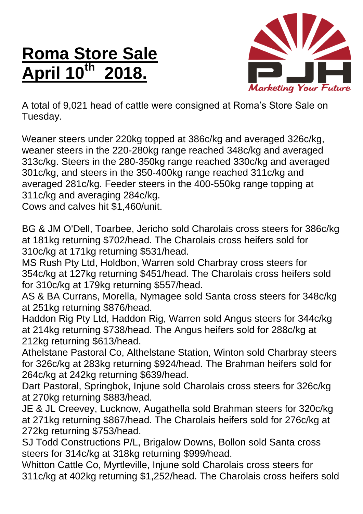## **Roma Store Sale April 10th 2018.**



A total of 9,021 head of cattle were consigned at Roma's Store Sale on Tuesday.

Weaner steers under 220kg topped at 386c/kg and averaged 326c/kg, weaner steers in the 220-280kg range reached 348c/kg and averaged 313c/kg. Steers in the 280-350kg range reached 330c/kg and averaged 301c/kg, and steers in the 350-400kg range reached 311c/kg and averaged 281c/kg. Feeder steers in the 400-550kg range topping at 311c/kg and averaging 284c/kg.

Cows and calves hit \$1,460/unit.

BG & JM O'Dell, Toarbee, Jericho sold Charolais cross steers for 386c/kg at 181kg returning \$702/head. The Charolais cross heifers sold for 310c/kg at 171kg returning \$531/head.

MS Rush Pty Ltd, Holdbon, Warren sold Charbray cross steers for 354c/kg at 127kg returning \$451/head. The Charolais cross heifers sold for 310c/kg at 179kg returning \$557/head.

AS & BA Currans, Morella, Nymagee sold Santa cross steers for 348c/kg at 251kg returning \$876/head.

Haddon Rig Pty Ltd, Haddon Rig, Warren sold Angus steers for 344c/kg at 214kg returning \$738/head. The Angus heifers sold for 288c/kg at 212kg returning \$613/head.

Athelstane Pastoral Co, Althelstane Station, Winton sold Charbray steers for 326c/kg at 283kg returning \$924/head. The Brahman heifers sold for 264c/kg at 242kg returning \$639/head.

Dart Pastoral, Springbok, Injune sold Charolais cross steers for 326c/kg at 270kg returning \$883/head.

JE & JL Creevey, Lucknow, Augathella sold Brahman steers for 320c/kg at 271kg returning \$867/head. The Charolais heifers sold for 276c/kg at 272kg returning \$753/head.

SJ Todd Constructions P/L, Brigalow Downs, Bollon sold Santa cross steers for 314c/kg at 318kg returning \$999/head.

Whitton Cattle Co, Myrtleville, Injune sold Charolais cross steers for 311c/kg at 402kg returning \$1,252/head. The Charolais cross heifers sold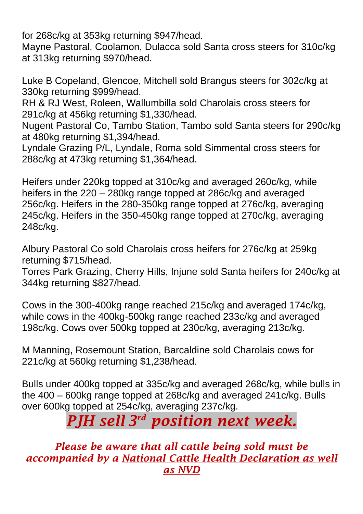for 268c/kg at 353kg returning \$947/head.

Mayne Pastoral, Coolamon, Dulacca sold Santa cross steers for 310c/kg at 313kg returning \$970/head.

Luke B Copeland, Glencoe, Mitchell sold Brangus steers for 302c/kg at 330kg returning \$999/head.

RH & RJ West, Roleen, Wallumbilla sold Charolais cross steers for 291c/kg at 456kg returning \$1,330/head.

Nugent Pastoral Co, Tambo Station, Tambo sold Santa steers for 290c/kg at 480kg returning \$1,394/head.

Lyndale Grazing P/L, Lyndale, Roma sold Simmental cross steers for 288c/kg at 473kg returning \$1,364/head.

Heifers under 220kg topped at 310c/kg and averaged 260c/kg, while heifers in the 220 – 280kg range topped at 286c/kg and averaged 256c/kg. Heifers in the 280-350kg range topped at 276c/kg, averaging 245c/kg. Heifers in the 350-450kg range topped at 270c/kg, averaging 248c/kg.

Albury Pastoral Co sold Charolais cross heifers for 276c/kg at 259kg returning \$715/head.

Torres Park Grazing, Cherry Hills, Injune sold Santa heifers for 240c/kg at 344kg returning \$827/head.

Cows in the 300-400kg range reached 215c/kg and averaged 174c/kg, while cows in the 400kg-500kg range reached 233c/kg and averaged 198c/kg. Cows over 500kg topped at 230c/kg, averaging 213c/kg.

M Manning, Rosemount Station, Barcaldine sold Charolais cows for 221c/kg at 560kg returning \$1,238/head.

Bulls under 400kg topped at 335c/kg and averaged 268c/kg, while bulls in the 400 – 600kg range topped at 268c/kg and averaged 241c/kg. Bulls over 600kg topped at 254c/kg, averaging 237c/kg.

## *PJH sell 3 rd position next week.*

*Please be aware that all cattle being sold must be accompanied by a National Cattle Health Declaration as well as NVD*